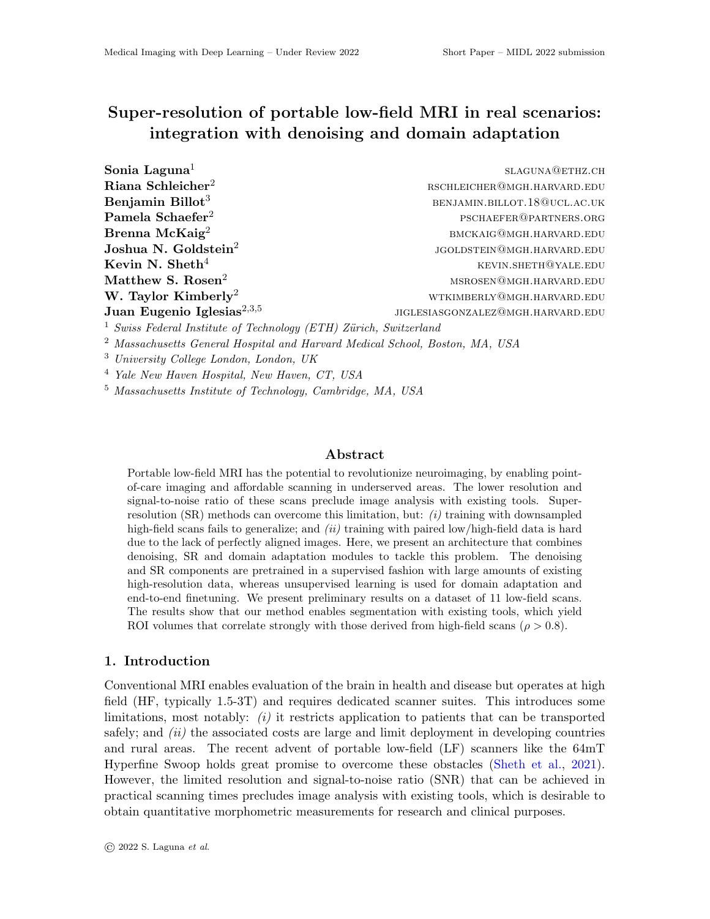# Super-resolution of portable low-field MRI in real scenarios: integration with denoising and domain adaptation

| Sonia Laguna <sup>1</sup>                                                    | SLAGUNA@ETHZ.CH                   |
|------------------------------------------------------------------------------|-----------------------------------|
| Riana Schleicher <sup>2</sup>                                                | RSCHLEICHER@MGH.HARVARD.EDU       |
| Benjamin Billot <sup>3</sup>                                                 | BENJAMIN.BILLOT.18@UCL.AC.UK      |
| Pamela Schaefer <sup>2</sup>                                                 | PSCHAEFER@PARTNERS.ORG            |
| Brenna McKaig <sup>2</sup>                                                   | BMCKAIG@MGH.HARVARD.EDU           |
| Joshua N. Goldstein <sup>2</sup>                                             | JGOLDSTEIN@MGH.HARVARD.EDU        |
| Kevin N. Sheth <sup>4</sup>                                                  | KEVIN.SHETH@YALE.EDU              |
| Matthew S. Rosen <sup>2</sup>                                                | MSROSEN@MGH.HARVARD.EDU           |
| W. Taylor Kimberly <sup>2</sup>                                              | WTKIMBERLY@MGH.HARVARD.EDU        |
| Juan Eugenio Iglesias <sup>2,3,5</sup>                                       | JIGLESIASGONZALEZ@MGH.HARVARD.EDU |
| <sup>1</sup> Swiss Federal Institute of Technology (ETH) Zürich, Switzerland |                                   |

<sup>2</sup> Massachusetts General Hospital and Harvard Medical School, Boston, MA, USA

<sup>3</sup> University College London, London, UK

<sup>4</sup> Yale New Haven Hospital, New Haven, CT, USA

<sup>5</sup> Massachusetts Institute of Technology, Cambridge, MA, USA

#### Abstract

Portable low-field MRI has the potential to revolutionize neuroimaging, by enabling pointof-care imaging and affordable scanning in underserved areas. The lower resolution and signal-to-noise ratio of these scans preclude image analysis with existing tools. Superresolution  $(SR)$  methods can overcome this limitation, but:  $(i)$  training with downsampled high-field scans fails to generalize; and  $(ii)$  training with paired low/high-field data is hard due to the lack of perfectly aligned images. Here, we present an architecture that combines denoising, SR and domain adaptation modules to tackle this problem. The denoising and SR components are pretrained in a supervised fashion with large amounts of existing high-resolution data, whereas unsupervised learning is used for domain adaptation and end-to-end finetuning. We present preliminary results on a dataset of 11 low-field scans. The results show that our method enables segmentation with existing tools, which yield ROI volumes that correlate strongly with those derived from high-field scans ( $\rho > 0.8$ ).

## 1. Introduction

Conventional MRI enables evaluation of the brain in health and disease but operates at high field (HF, typically 1.5-3T) and requires dedicated scanner suites. This introduces some limitations, most notably:  $(i)$  it restricts application to patients that can be transported safely; and *(ii)* the associated costs are large and limit deployment in developing countries and rural areas. The recent advent of portable low-field (LF) scanners like the 64mT Hyperfine Swoop holds great promise to overcome these obstacles [\(Sheth et al.,](#page-2-0) [2021\)](#page-2-0). However, the limited resolution and signal-to-noise ratio (SNR) that can be achieved in practical scanning times precludes image analysis with existing tools, which is desirable to obtain quantitative morphometric measurements for research and clinical purposes.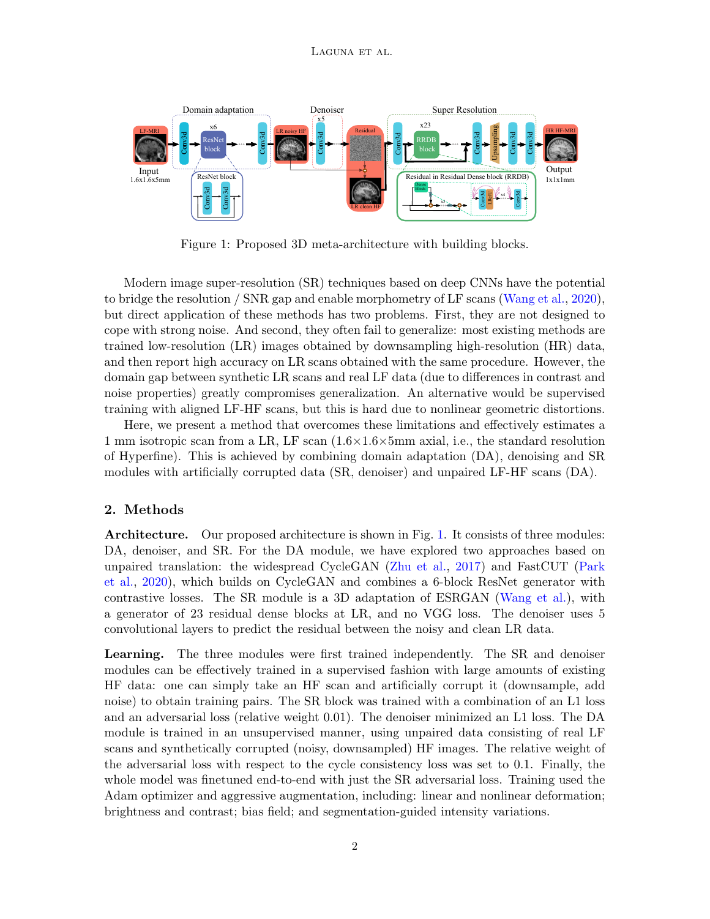

<span id="page-1-0"></span>Figure 1: Proposed 3D meta-architecture with building blocks.

Modern image super-resolution (SR) techniques based on deep CNNs have the potential to bridge the resolution / SNR gap and enable morphometry of LF scans [\(Wang et al.,](#page-2-1) [2020\)](#page-2-1), but direct application of these methods has two problems. First, they are not designed to cope with strong noise. And second, they often fail to generalize: most existing methods are trained low-resolution (LR) images obtained by downsampling high-resolution (HR) data, and then report high accuracy on LR scans obtained with the same procedure. However, the domain gap between synthetic LR scans and real LF data (due to differences in contrast and noise properties) greatly compromises generalization. An alternative would be supervised training with aligned LF-HF scans, but this is hard due to nonlinear geometric distortions.

Here, we present a method that overcomes these limitations and effectively estimates a 1 mm isotropic scan from a LR, LF scan  $(1.6\times1.6\times5)$ mm axial, i.e., the standard resolution of Hyperfine). This is achieved by combining domain adaptation (DA), denoising and SR modules with artificially corrupted data (SR, denoiser) and unpaired LF-HF scans (DA).

## 2. Methods

Architecture. Our proposed architecture is shown in Fig. [1.](#page-1-0) It consists of three modules: DA, denoiser, and SR. For the DA module, we have explored two approaches based on unpaired translation: the widespread CycleGAN [\(Zhu et al.,](#page-2-2) [2017\)](#page-2-2) and FastCUT [\(Park](#page-2-3) [et al.,](#page-2-3) [2020\)](#page-2-3), which builds on CycleGAN and combines a 6-block ResNet generator with contrastive losses. The SR module is a 3D adaptation of ESRGAN [\(Wang et al.\)](#page-2-4), with a generator of 23 residual dense blocks at LR, and no VGG loss. The denoiser uses 5 convolutional layers to predict the residual between the noisy and clean LR data.

Learning. The three modules were first trained independently. The SR and denoiser modules can be effectively trained in a supervised fashion with large amounts of existing HF data: one can simply take an HF scan and artificially corrupt it (downsample, add noise) to obtain training pairs. The SR block was trained with a combination of an L1 loss and an adversarial loss (relative weight 0.01). The denoiser minimized an L1 loss. The DA module is trained in an unsupervised manner, using unpaired data consisting of real LF scans and synthetically corrupted (noisy, downsampled) HF images. The relative weight of the adversarial loss with respect to the cycle consistency loss was set to 0.1. Finally, the whole model was finetuned end-to-end with just the SR adversarial loss. Training used the Adam optimizer and aggressive augmentation, including: linear and nonlinear deformation; brightness and contrast; bias field; and segmentation-guided intensity variations.